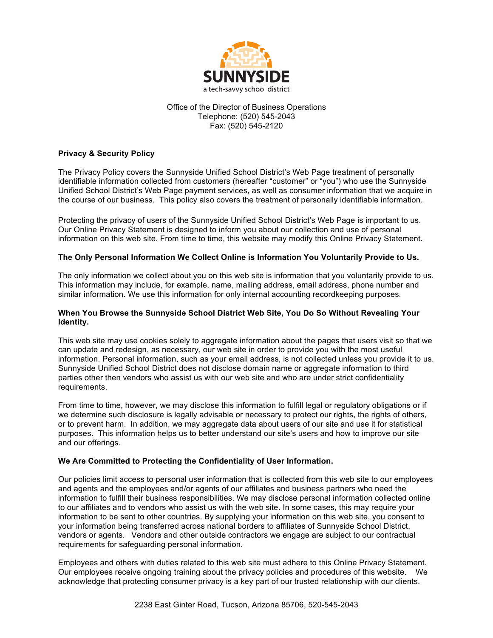

## Office of the Director of Business Operations Telephone: (520) 545-2043 Fax: (520) 545-2120

# **Privacy & Security Policy**

The Privacy Policy covers the Sunnyside Unified School District's Web Page treatment of personally identifiable information collected from customers (hereafter "customer" or "you") who use the Sunnyside Unified School District's Web Page payment services, as well as consumer information that we acquire in the course of our business. This policy also covers the treatment of personally identifiable information.

Protecting the privacy of users of the Sunnyside Unified School District's Web Page is important to us. Our Online Privacy Statement is designed to inform you about our collection and use of personal information on this web site. From time to time, this website may modify this Online Privacy Statement.

## **The Only Personal Information We Collect Online is Information You Voluntarily Provide to Us.**

The only information we collect about you on this web site is information that you voluntarily provide to us. This information may include, for example, name, mailing address, email address, phone number and similar information. We use this information for only internal accounting recordkeeping purposes.

## **When You Browse the Sunnyside School District Web Site, You Do So Without Revealing Your Identity.**

This web site may use cookies solely to aggregate information about the pages that users visit so that we can update and redesign, as necessary, our web site in order to provide you with the most useful information. Personal information, such as your email address, is not collected unless you provide it to us. Sunnyside Unified School District does not disclose domain name or aggregate information to third parties other then vendors who assist us with our web site and who are under strict confidentiality requirements.

From time to time, however, we may disclose this information to fulfill legal or regulatory obligations or if we determine such disclosure is legally advisable or necessary to protect our rights, the rights of others, or to prevent harm. In addition, we may aggregate data about users of our site and use it for statistical purposes. This information helps us to better understand our site's users and how to improve our site and our offerings.

## **We Are Committed to Protecting the Confidentiality of User Information.**

Our policies limit access to personal user information that is collected from this web site to our employees and agents and the employees and/or agents of our affiliates and business partners who need the information to fulfill their business responsibilities. We may disclose personal information collected online to our affiliates and to vendors who assist us with the web site. In some cases, this may require your information to be sent to other countries. By supplying your information on this web site, you consent to your information being transferred across national borders to affiliates of Sunnyside School District, vendors or agents. Vendors and other outside contractors we engage are subject to our contractual requirements for safeguarding personal information.

Employees and others with duties related to this web site must adhere to this Online Privacy Statement. Our employees receive ongoing training about the privacy policies and procedures of this website. We acknowledge that protecting consumer privacy is a key part of our trusted relationship with our clients.